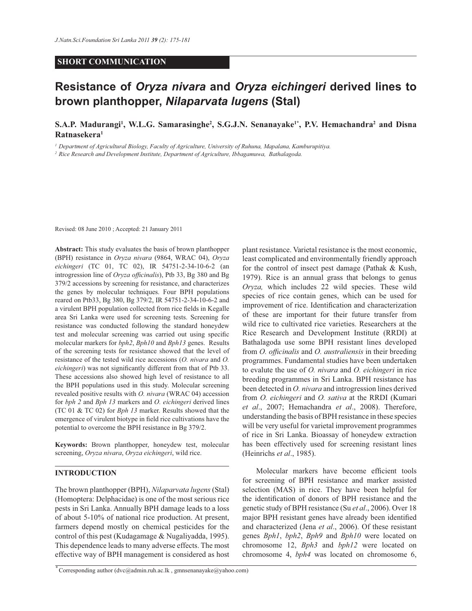## **SHORT COMMUNICATION**

# **Resistance of** *Oryza nivara* **and** *Oryza eichingeri* **derived lines to brown planthopper,** *Nilaparvata lugens* **(Stal)**

**S.A.P. Madurangi<sup>1</sup> , W.L.G. Samarasinghe<sup>2</sup> , S.G.J.N. Senanayake1\*, P.V. Hemachandra<sup>2</sup> and Disna Ratnasekera<sup>1</sup>**

*<sup>1</sup> Department of Agricultural Biology, Faculty of Agriculture, University of Ruhuna, Mapalana, Kamburupitiya.* 

*<sup>2</sup> Rice Research and Development Institute, Department of Agriculture, Ibbagamuwa, Bathalagoda.*

Revised: 08 June 2010 ; Accepted: 21 January 2011

**Abstract:** This study evaluates the basis of brown planthopper (BPH) resistance in *Oryza nivara* (9864, WRAC 04), *Oryza eichingeri* (TC 01, TC 02), IR 54751-2-34-10-6-2 (an introgression line of *Oryza officinalis*), Ptb 33, Bg 380 and Bg 379/2 accessions by screening for resistance, and characterizes the genes by molecular techniques. Four BPH populations reared on Ptb33, Bg 380, Bg 379/2, IR 54751-2-34-10-6-2 and a virulent BPH population collected from rice fields in Kegalle area Sri Lanka were used for screening tests. Screening for resistance was conducted following the standard honeydew test and molecular screening was carried out using specific molecular markers for *bph2*, *Bph10* and *Bph13* genes. Results of the screening tests for resistance showed that the level of resistance of the tested wild rice accessions (*O. nivara* and *O. eichingeri*) was not significantly different from that of Ptb 33. These accessions also showed high level of resistance to all the BPH populations used in this study. Molecular screening revealed positive results with *O. nivara* (WRAC 04) accession for *bph 2* and *Bph 13* markers and *O. eichingeri* derived lines (TC 01 & TC 02) for *Bph 13* marker. Results showed that the emergence of virulent biotype in field rice cultivations have the potential to overcome the BPH resistance in Bg 379/2.

**Keywords:** Brown planthopper, honeydew test, molecular screening, *Oryza nivara*, *Oryza eichingeri*, wild rice.

#### **INTRODUCTION**

The brown planthopper (BPH), *Nilaparvata lugens* (Stal) (Homoptera: Delphacidae) is one of the most serious rice pests in Sri Lanka. Annually BPH damage leads to a loss of about 5-10% of national rice production. At present, farmers depend mostly on chemical pesticides for the control of this pest (Kudagamage & Nugaliyadda, 1995). This dependence leads to many adverse effects. The most effective way of BPH management is considered as host

*\** Corresponding author (dvc@admin.ruh.ac.lk , gmnsenanayake@yahoo.com)

plant resistance. Varietal resistance is the most economic, least complicated and environmentally friendly approach for the control of insect pest damage (Pathak & Kush, 1979). Rice is an annual grass that belongs to genus *Oryza,* which includes 22 wild species. These wild species of rice contain genes, which can be used for improvement of rice. Identification and characterization of these are important for their future transfer from wild rice to cultivated rice varieties. Researchers at the Rice Research and Development Institute (RRDI) at Bathalagoda use some BPH resistant lines developed from *O. officinalis* and *O. australiensis* in their breeding programmes. Fundamental studies have been undertaken to evalute the use of *O. nivara* and *O. eichingeri* in rice breeding programmes in Sri Lanka. BPH resistance has been detected in *O. nivara* and introgression lines derived from *O. eichingeri* and *O. sativa* at the RRDI (Kumari *et al*., 2007; Hemachandra *et al*., 2008). Therefore, understanding the basis of BPH resistance in these species will be very useful for varietal improvement programmes of rice in Sri Lanka. Bioassay of honeydew extraction has been effectively used for screening resistant lines (Heinrichs *et al*., 1985).

 Molecular markers have become efficient tools for screening of BPH resistance and marker assisted selection (MAS) in rice. They have been helpful for the identification of donors of BPH resistance and the genetic study of BPH resistance (Su *et al*., 2006). Over 18 major BPH resistant genes have already been identified and characterized (Jena *et al*., 2006). Of these resistant genes *Bph1*, *bph2*, *Bph9* and *Bph10* were located on chromosome 12, *Bph3* and *bph12* were located on chromosome 4, *bph4* was located on chromosome 6,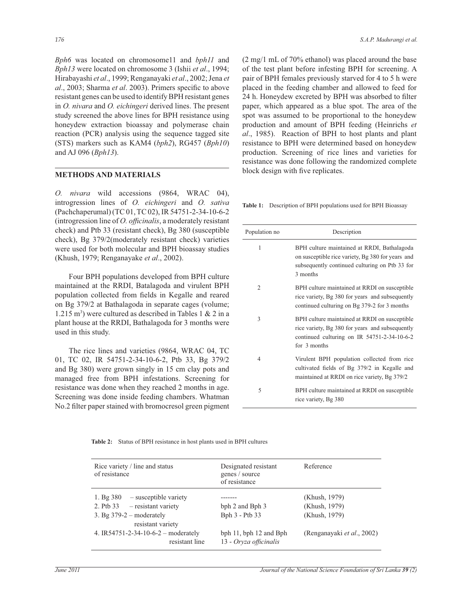*Bph6* was located on chromosome11 and *bph11* and *Bph13* were located on chromosome 3 (Ishii *et al*., 1994; Hirabayashi *et al*., 1999; Renganayaki *et al*., 2002; Jena *et al*., 2003; Sharma *et al*. 2003). Primers specific to above resistant genes can be used to identify BPH resistant genes in *O. nivara* and *O. eichingeri* derived lines. The present study screened the above lines for BPH resistance using honeydew extraction bioassay and polymerase chain reaction (PCR) analysis using the sequence tagged site (STS) markers such as KAM4 (*bph2*), RG457 (*Bph10*) and AJ 096 (*Bph13*).

#### **METHODS AND MATERIALS**

*O. nivara* wild accessions (9864, WRAC 04), introgression lines of *O. eichingeri* and *O. sativa* (Pachchaperumal) (TC 01, TC 02), IR 54751-2-34-10-6-2 (introgression line of *O. officinalis*, a moderately resistant check) and Ptb 33 (resistant check), Bg 380 (susceptible check), Bg 379/2(moderately resistant check) varieties were used for both molecular and BPH bioassay studies (Khush, 1979; Renganayake *et al*., 2002).

Four BPH populations developed from BPH culture maintained at the RRDI, Batalagoda and virulent BPH population collected from fields in Kegalle and reared on Bg 379/2 at Bathalagoda in separate cages (volume; 1.215 m<sup>3</sup>) were cultured as described in Tables 1 & 2 in a plant house at the RRDI, Bathalagoda for 3 months were used in this study.

 The rice lines and varieties (9864, WRAC 04, TC 01, TC 02, IR 54751-2-34-10-6-2, Ptb 33, Bg 379/2 and Bg 380) were grown singly in 15 cm clay pots and managed free from BPH infestations. Screening for resistance was done when they reached 2 months in age. Screening was done inside feeding chambers. Whatman No.2 filter paper stained with bromocresol green pigment (2 mg/1 mL of 70% ethanol) was placed around the base of the test plant before infesting BPH for screening. A pair of BPH females previously starved for 4 to 5 h were placed in the feeding chamber and allowed to feed for 24 h. Honeydew excreted by BPH was absorbed to filter paper, which appeared as a blue spot. The area of the spot was assumed to be proportional to the honeydew production and amount of BPH feeding (Heinrichs *et al*., 1985). Reaction of BPH to host plants and plant resistance to BPH were determined based on honeydew production. Screening of rice lines and varieties for resistance was done following the randomized complete block design with five replicates.

**Table 1:** Description of BPH populations used for BPH Bioassay

| Population no  | Description                                                                                                                                                       |
|----------------|-------------------------------------------------------------------------------------------------------------------------------------------------------------------|
| 1              | BPH culture maintained at RRDI, Bathalagoda<br>on susceptible rice variety, Bg 380 for years and<br>subsequently continued culturing on Ptb 33 for<br>3 months    |
| $\overline{2}$ | BPH culture maintained at RRDI on susceptible<br>rice variety, Bg 380 for years and subsequently<br>continued culturing on Bg 379-2 for 3 months                  |
| 3              | BPH culture maintained at RRDI on susceptible<br>rice variety, Bg 380 for years and subsequently<br>continued culturing on IR $54751-2-34-10-6-2$<br>for 3 months |
| $\overline{4}$ | Virulent BPH population collected from rice<br>cultivated fields of Bg 379/2 in Kegalle and<br>maintained at RRDI on rice variety, Bg 379/2                       |
| 5              | BPH culture maintained at RRDI on susceptible<br>rice variety, Bg 380                                                                                             |

**Table 2:** Status of BPH resistance in host plants used in BPH cultures

| Rice variety / line and status<br>of resistance                                                    | Designated resistant<br>genes / source<br>of resistance | Reference                                       |
|----------------------------------------------------------------------------------------------------|---------------------------------------------------------|-------------------------------------------------|
| 1. Bg $380$ – susceptible variety<br>2. Ptb $33$ – resistant variety<br>3. Bg $379-2$ – moderately | bph 2 and Bph 3<br>Bph 3 - Ptb 33                       | (Khush, 1979)<br>(Khush, 1979)<br>(Khush, 1979) |
| resistant variety<br>4. IR54751-2-34-10-6-2 – moderately<br>resistant line                         | bph 11, bph 12 and Bph<br>13 - Oryza officinalis        | (Renganayaki et al., 2002)                      |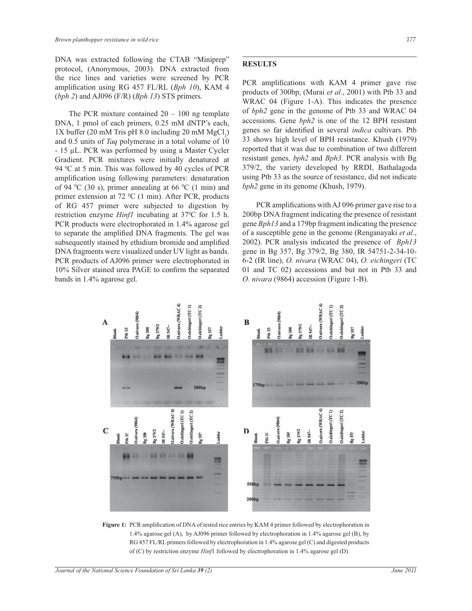DNA was extracted following the CTAB "Miniprep" protocol, (Anonymous, 2003). DNA extracted from the rice lines and varieties were screened by PCR amplification using RG 457 FL/RL (*Bph 10*), KAM 4 (*bph 2*) and AJ096 (F/R) (*Bph 13*) STS primers.

The PCR mixture contained  $20 - 100$  ng template DNA, 1 pmol of each primers, 0.25 mM dNTP's each,  $1X$  buffer (20 mM Tris pH 8.0 including 20 mM  $MgCl_2$ ) and 0.5 units of *Taq* polymerase in a total volume of 10 - 15 µL. PCR was performed by using a Master Cycler Gradient. PCR mixtures were initially denatured at 94 °C at 5 min. This was followed by 40 cycles of PCR amplification using following parameters: denaturation of 94  $\rm{^0C}$  (30 s), primer annealing at 66  $\rm{^0C}$  (1 min) and primer extension at  $72 \text{ °C}$  (1 min). After PCR, products of RG 457 primer were subjected to digestion by restriction enzyme *Hinf1* incubating at 37<sup>o</sup>C for 1.5 h. PCR products were electrophorated in 1.4% agarose gel to separate the amplified DNA fragments. The gel was subsequently stained by ethidium bromide and amplified DNA fragments were visualized under UV light as bands. PCR products of AJ096 primer were electrophorated in 10% Silver stained urea PAGE to confirm the separated bands in 1.4% agarose gel.

## **RESULTS**

PCR amplifications with KAM 4 primer gave rise products of 300bp, (Murai *et al*., 2001) with Ptb 33 and WRAC 04 (Figure 1-A). This indicates the presence of *bph2* gene in the genome of Ptb 33 and WRAC 04 accessions. Gene *bph2* is one of the 12 BPH resistant genes so far identified in several *indica* cultivars. Ptb 33 shows high level of BPH resistance. Khush (1979) reported that it was due to combination of two different resistant genes, *bph2* and *Bph3*. PCR analysis with Bg 379/2, the variety developed by RRDI, Bathalagoda using Ptb 33 as the source of resistance, did not indicate *bph2* gene in its genome (Khush, 1979).

 PCR amplifications with AJ 096 primer gave rise to a 200bp DNA fragment indicating the presence of resistant gene *Bph13* and a 179bp fragment indicating the presence of a susceptible gene in the genome (Renganayaki *et al*., 2002). PCR analysis indicated the presence of *Bph13* gene in Bg 357, Bg 379/2, Bg 380, IR 54751-2-34-10- 6-2 (IR line), *O. nivara* (WRAC 04), *O. eichingeri* (TC 01 and TC 02) accessions and but not in Ptb 33 and *O. nivara* (9864) accession (Figure 1-B).



**Figure 1:** PCR amplification of DNA of tested rice entries by KAM 4 primer followed by electrophoration in 1.4% agarose gel (A), by AJ096 primer followed by electrophoration in 1.4% agarose gel (B), by RG 457 FL/RL primers followed by electrophoration in 1.4% agarose gel (C) and digested products of (C) by restriction enzyme *Hinf*1 followed by electrophoration in 1.4% agarose gel (D)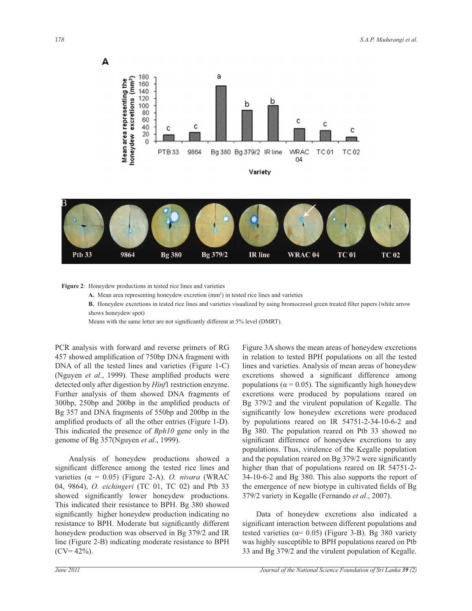A





**Figure 2**: Honeydew productions in tested rice lines and varieties

A. Mean area representing honeydew excretion  $(mm<sup>2</sup>)$  in tested rice lines and varieties

 **B.** Honeydew excretions in tested rice lines and varieties visualized by using bromocresol green treated filter papers (white arrow shows honeydew spot)

Means with the same letter are not significantly different at 5% level (DMRT).

PCR analysis with forward and reverse primers of RG 457 showed amplification of 750bp DNA fragment with DNA of all the tested lines and varieties (Figure 1-C) (Nguyen *et al*., 1999). These amplified products were detected only after digestion by *Hinf*1 restriction enzyme. Further analysis of them showed DNA fragments of 300bp, 250bp and 200bp in the amplified products of Bg 357 and DNA fragments of 550bp and 200bp in the amplified products of all the other entries (Figure 1-D). This indicated the presence of *Bph10* gene only in the genome of Bg 357(Nguyen *et al*., 1999).

 Analysis of honeydew productions showed a significant difference among the tested rice lines and varieties (α = 0.05) (Figure 2-A). *O. nivara* (WRAC 04, 9864), *O. eichingeri* (TC 01, TC 02) and Ptb 33 showed significantly lower honeydew productions. This indicated their resistance to BPH. Bg 380 showed significantly higher honeydew production indicating no resistance to BPH. Moderate but significantly different honeydew production was observed in Bg 379/2 and IR line (Figure 2-B) indicating moderate resistance to BPH  $(CV=42\%).$ 

Figure 3A shows the mean areas of honeydew excretions in relation to tested BPH populations on all the tested lines and varieties. Analysis of mean areas of honeydew excretions showed a significant difference among populations ( $\alpha$  = 0.05). The significantly high honeydew excretions were produced by populations reared on Bg 379/2 and the virulent population of Kegalle. The significantly low honeydew excretions were produced by populations reared on IR 54751-2-34-10-6-2 and Bg 380. The population reared on Ptb 33 showed no significant difference of honeydew excretions to any populations. Thus, virulence of the Kegalle population and the population reared on Bg 379/2 were significantly higher than that of populations reared on IR 54751-2- 34-10-6-2 and Bg 380. This also supports the report of the emergence of new biotype in cultivated fields of Bg 379/2 variety in Kegalle (Fernando *et al*., 2007).

 Data of honeydew excretions also indicated a significant interaction between different populations and tested varieties ( $\alpha$ = 0.05) (Figure 3-B). Bg 380 variety was highly susceptible to BPH populations reared on Ptb 33 and Bg 379/2 and the virulent population of Kegalle.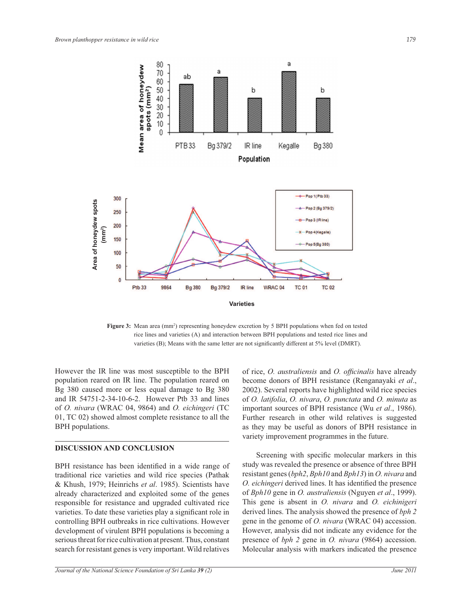

Figure 3: Mean area (mm<sup>2</sup>) representing honeydew excretion by 5 BPH populations when fed on tested rice lines and varieties (A) and interaction between BPH populations and tested rice lines and varieties (B); Means with the same letter are not significantly different at 5% level (DMRT).

However the IR line was most susceptible to the BPH population reared on IR line. The population reared on Bg 380 caused more or less equal damage to Bg 380 and IR 54751-2-34-10-6-2. However Ptb 33 and lines of *O. nivara* (WRAC 04, 9864) and *O. eichingeri* (TC 01, TC 02) showed almost complete resistance to all the BPH populations.

#### **DISCUSSION AND CONCLUSION**

BPH resistance has been identified in a wide range of traditional rice varieties and wild rice species (Pathak & Khush, 1979; Heinrichs *et al*. 1985). Scientists have already characterized and exploited some of the genes responsible for resistance and upgraded cultivated rice varieties. To date these varieties play a significant role in controlling BPH outbreaks in rice cultivations. However development of virulent BPH populations is becoming a serious threat for rice cultivation at present. Thus, constant search for resistant genes is very important. Wild relatives

*Journal of the National Science Foundation of Sri Lanka 39 (2) June 2011* 

of rice, *O. australiensis* and *O. officinalis* have already become donors of BPH resistance (Renganayaki *et al*., 2002). Several reports have highlighted wild rice species of *O. latifolia*, *O. nivara*, *O. punctata* and *O. minuta* as important sources of BPH resistance (Wu *et al*., 1986). Further research in other wild relatives is suggested as they may be useful as donors of BPH resistance in variety improvement programmes in the future.

 Screening with specific molecular markers in this study was revealed the presence or absence of three BPH resistant genes (*bph2*, *Bph10* and *Bph13*) in *O. nivara* and *O. eichingeri* derived lines. It has identified the presence of *Bph10* gene in *O. australiensis* (Nguyen *et al*., 1999). This gene is absent in *O. nivara* and *O. eichinigeri* derived lines. The analysis showed the presence of *bph 2* gene in the genome of *O. nivara* (WRAC 04) accession. However, analysis did not indicate any evidence for the presence of *bph 2* gene in *O. nivara* (9864) accession. Molecular analysis with markers indicated the presence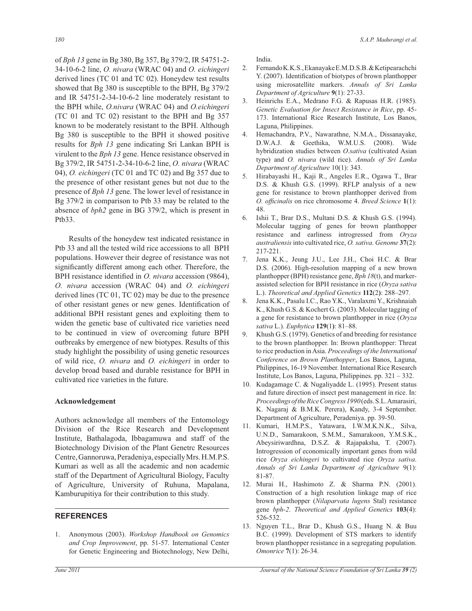of *Bph 13* gene in Bg 380, Bg 357, Bg 379/2, IR 54751-2- 34-10-6-2 line, *O. nivara* (WRAC 04) and *O. eichingeri* derived lines (TC 01 and TC 02). Honeydew test results showed that Bg 380 is susceptible to the BPH, Bg 379/2 and IR 54751-2-34-10-6-2 line moderately resistant to the BPH while, *O.nivara* (WRAC 04) and *O.eichingeri* (TC 01 and TC 02) resistant to the BPH and Bg 357 known to be moderately resistant to the BPH. Although Bg 380 is susceptible to the BPH it showed positive results for *Bph 13* gene indicating Sri Lankan BPH is virulent to the *Bph 13* gene. Hence resistance observed in Bg 379/2, IR 54751-2-34-10-6-2 line, *O. nivara* (WRAC 04), *O. eichingeri* (TC 01 and TC 02) and Bg 357 due to the presence of other resistant genes but not due to the presence of *Bph 13* gene. The lower level of resistance in Bg 379/2 in comparison to Ptb 33 may be related to the absence of *bph2* gene in BG 379/2, which is present in Ptb33.

 Results of the honeydew test indicated resistance in Ptb 33 and all the tested wild rice accessions to all BPH populations. However their degree of resistance was not significantly different among each other. Therefore, the BPH resistance identified in *O. nivara* accession (9864), *O. nivara* accession (WRAC 04) and *O. eichingeri* derived lines (TC 01, TC 02) may be due to the presence of other resistant genes or new genes. Identification of additional BPH resistant genes and exploiting them to widen the genetic base of cultivated rice varieties need to be continued in view of overcoming future BPH outbreaks by emergence of new biotypes. Results of this study highlight the possibility of using genetic resources of wild rice, *O. nivara* and *O. eichingeri* in order to develop broad based and durable resistance for BPH in cultivated rice varieties in the future.

## **Acknowledgement**

Authors acknowledge all members of the Entomology Division of the Rice Research and Development Institute, Bathalagoda, Ibbagamuwa and staff of the Biotechnology Division of the Plant Genetrc Resources Centre, Gannoruwa, Peradeniya, especially Mrs. H.M.P.S. Kumari as well as all the academic and non academic staff of the Department of Agricultural Biology, Faculty of Agriculture, University of Ruhuna, Mapalana, Kamburupitiya for their contribution to this study.

## **REFERENCES**

1. Anonymous (2003). *Workshop Handbook on Genomics and Crop Improvement*, pp. 51-57. International Center for Genetic Engineering and Biotechnology, New Delhi, India.

- 2. Fernando K.K.S., Ekanayake E.M.D.S.B. & Ketipearachchi Y. (2007). Identification of biotypes of brown planthopper using microsatellite markers. *Annals of Sri Lanka Department of Agriculture* **9**(1): 27-33.
- Heinrichs E.A., Medrano F.G. & Rapusas H.R. (1985). *Genetic Evaluation for Insect Resistance in Rice*, pp. 45- 173. International Rice Research Institute, Los Banos, Laguna, Philippines.
- 4. Hemachandra, P.V., Nawarathne, N.M.A., Dissanayake, D.W.A.J. & Geethika, W.M.U.S. (2008). Wide hybridization studies between *O.sativa* (cultivated Asian type) and *O. nivara* (wild rice). *Annals of Sri Lanka Department of Agriculture* 10(1): 343.
- 5. Hirabayashi H., Kaji R., Angeles E.R., Ogawa T., Brar D.S. & Khush G.S. (1999). RFLP analysis of a new gene for resistance to brown planthopper derived from *O. officinalis* on rice chromosome 4. *Breed Science* **1**(1): 48.
- 6. Ishii T., Brar D.S., Multani D.S. & Khush G.S. (1994). Molecular tagging of genes for brown planthopper resistance and earliness introgressed from *Oryza australiensis* into cultivated rice, *O. sativa*. *Genome* **37**(2): 217-221.
- 7. Jena K.K., Jeung J.U., Lee J.H., Choi H.C. & Brar D.S. (2006). High-resolution mapping of a new brown planthopper (BPH) resistance gene, *Bph 18*(t), and markerassisted selection for BPH resistance in rice (*Oryza sativa* L.). *Theoretical and Applied Genetics* **112**(2**)**: 288–297.
- 8. Jena K.K., Pasalu I.C., Rao Y.K., Varalaxmi Y., Krishnaiah K., Khush G.S. & Kochert G. (2003). Molecular tagging of a gene for resistance to brown planthopper in rice (*Oryza sativa* L.). *Euphytica* **129**(1**)**: 81–88.
- 9. Khush G.S. (1979). Genetics of and breeding for resistance to the brown planthopper. In: Brown planthopper: Threat to rice production in Asia. *Proceedings of the International Conference on Brown Planthopper*, Los Banos, Laguna, Philippines, 16-19 November. International Rice Research Institute, Los Banos, Laguna, Philippines. pp. 321 – 332.
- 10. Kudagamage C. & Nugaliyadde L. (1995). Present status and future direction of insect pest management in rice. In: *Proceedings of theRice Congress 1990* (eds. S.L. Amarasiri, K. Nagaraj & B.M.K. Perera), Kandy, 3-4 September. Department of Agriculture, Peradeniya. pp. 39-50.
- 11. Kumari, H.M.P.S., Yatawara, I.W.M.K.N.K., Silva, U.N.D., Samarakoon, S.M.M., Samarakoon, Y.M.S.K., Abeysiriwardhna, D.S.Z. & Rajapaksha, T. (2007). Introgression of economically important genes from wild rice *Oryza eichingeri* to cultivated rice *Oryza sativa*. *Annals of Sri Lanka Department of Agriculture* 9(1): 81-87.
- 12. Murai H., Hashimoto Z. & Sharma P.N. (2001). Construction of a high resolution linkage map of rice brown planthopper (*Nilaparvata lugens* Stal) resistance gene *bph-2*. *Theoretical and Applied Genetics* **103**(4): 526-532.
- 13. Nguyen T.L., Brar D., Khush G.S., Huang N. & Buu B.C. (1999). Development of STS markers to identify brown planthopper resistance in a segregating population. *Omonrice* **7**(1): 26-34.